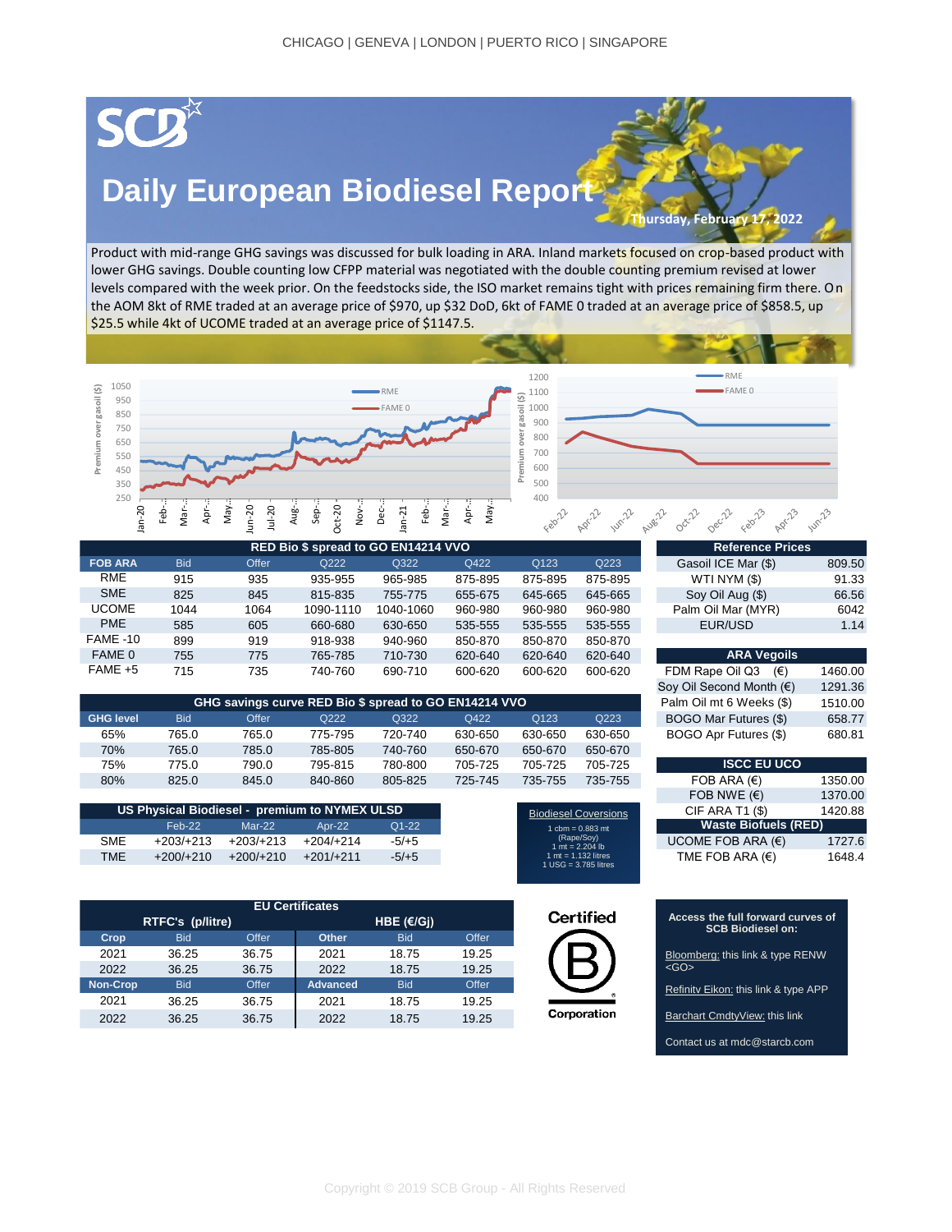## SCD

## **Daily European Biodiesel Report**

**Thursday, February 17, 2022**

RME

Product with mid-range GHG savings was discussed for bulk loading in ARA. Inland markets focused on crop-based product with lower GHG savings. Double counting low CFPP material was negotiated with the double counting premium revised at lower levels compared with the week prior. On the feedstocks side, the ISO market remains tight with prices remaining firm there. On the AOM 8kt of RME traded at an average price of \$970, up \$32 DoD, 6kt of FAME 0 traded at an average price of \$858.5, up \$25.5 while 4kt of UCOME traded at an average price of \$1147.5.





| RED Bio \$ spread to GO EN14214 VVO |            |       |           |           |         | <b>Reference Prices</b> |         |                                       |      |
|-------------------------------------|------------|-------|-----------|-----------|---------|-------------------------|---------|---------------------------------------|------|
| <b>FOB ARA</b>                      | <b>Bid</b> | Offer | Q222      | Q322      | Q422    | Q123                    | Q223    | Gasoil ICE Mar (\$)<br>809.50         |      |
| <b>RME</b>                          | 915        | 935   | 935-955   | 965-985   | 875-895 | 875-895                 | 875-895 | WTI NYM(S)<br>91.33                   |      |
| <b>SME</b>                          | 825        | 845   | 815-835   | 755-775   | 655-675 | 645-665                 | 645-665 | 66.56<br>Soy Oil Aug (\$)             |      |
| <b>UCOME</b>                        | 1044       | 1064  | 1090-1110 | 1040-1060 | 960-980 | 960-980                 | 960-980 | Palm Oil Mar (MYR)                    | 6042 |
| <b>PME</b>                          | 585        | 605   | 660-680   | 630-650   | 535-555 | 535-555                 | 535-555 | EUR/USD                               | 1.14 |
| FAME -10                            | 899        | 919   | 918-938   | 940-960   | 850-870 | 850-870                 | 850-870 |                                       |      |
| FAME 0                              | 755        | 775   | 765-785   | 710-730   | 620-640 | 620-640                 | 620-640 | <b>ARA Vegoils</b>                    |      |
| $FAME + 5$                          | 715        | 735   | 740-760   | 690-710   | 600-620 | 600-620                 | 600-620 | FDM Rape Oil Q3<br>1460.00<br>$(\in)$ |      |

| GHG savings curve RED Bio \$ spread to GO EN14214 VVO |            |       |         |         |         |         |         | Palm Oil mt 6 Weeks (\$) | 1510.00 |
|-------------------------------------------------------|------------|-------|---------|---------|---------|---------|---------|--------------------------|---------|
| <b>GHG</b> level                                      | <b>Bid</b> | Offer | Q222    | Q322    | Q422    | Q123    | Q223    | BOGO Mar Futures (\$)    | 658.77  |
| 65%                                                   | 765.0      | 765.0 | 775-795 | 720-740 | 630-650 | 630-650 | 630-650 | BOGO Apr Futures (\$)    | 680.81  |
| 70%                                                   | 765.0      | 785.0 | 785-805 | 740-760 | 650-670 | 650-670 | 650-670 |                          |         |
| 75%                                                   | 775.0      | 790.0 | 795-815 | 780-800 | 705-725 | 705-725 | 705-725 | <b>ISCC EU UCO</b>       |         |
| 80%                                                   | 825.0      | 845.0 | 840-860 | 805-825 | 725-745 | 735-755 | 735-755 | FOB ARA $(\epsilon)$     | 1350.00 |

| US Physical Biodiesel - premium to NYMEX ULSD |             |                                                   |             |         |
|-----------------------------------------------|-------------|---------------------------------------------------|-------------|---------|
|                                               | $Feb-22$    | Q1-22<br>$Mar-22$<br>Apr-22<br>1 $cbm = 0.883$ mt |             |         |
| <b>SME</b>                                    | +203/+213   | $+203/+213$                                       | $+204/+214$ | $-5/+5$ |
| <b>TME</b>                                    | $+200/+210$ | $+200/+210$                                       | $+201/+211$ | $-5/+5$ |

| <b>EU Certificates</b> |                  |       |                 |              |       |  |  |
|------------------------|------------------|-------|-----------------|--------------|-------|--|--|
|                        | RTFC's (p/litre) |       |                 | HBE $(E/Gi)$ |       |  |  |
| Crop                   | <b>Bid</b>       | Offer | <b>Other</b>    | <b>Bid</b>   | Offer |  |  |
| 2021                   | 36.25            | 36.75 | 2021            | 18.75        | 19.25 |  |  |
| 2022                   | 36.25            | 36.75 | 2022            | 18.75        | 19.25 |  |  |
| <b>Non-Crop</b>        | <b>Bid</b>       | Offer | <b>Advanced</b> | <b>Bid</b>   | Offer |  |  |
| 2021                   | 36.25            | 36.75 | 2021            | 18.75        | 19.25 |  |  |
| 2022                   | 36.25            | 36.75 | 2022            | 18.75        | 19.25 |  |  |

| Gasoil ICE Mar (\$) | 809.50 |
|---------------------|--------|
| WTI NYM (\$)        | 91.33  |
| Soy Oil Aug (\$)    | 66.56  |
| Palm Oil Mar (MYR)  | 6042   |
| EUR/USD             | 1.14   |
|                     |        |

| <b>ARA Vegoils</b>           |         |
|------------------------------|---------|
| FDM Rape Oil Q3 $(\epsilon)$ | 1460.00 |
| Soy Oil Second Month (€)     | 1291.36 |
| Palm Oil mt 6 Weeks (\$)     | 1510.00 |
| BOGO Mar Futures (\$)        | 658.77  |
| BOGO Apr Futures (\$)        | 680.81  |
|                              |         |

| <b>ISCC EU UCO</b>          |         |  |  |
|-----------------------------|---------|--|--|
| FOB ARA $(E)$               | 1350.00 |  |  |
| FOB NWE $(E)$               | 1370.00 |  |  |
| <b>CIF ARA T1 (\$)</b>      | 1420.88 |  |  |
| <b>Waste Biofuels (RED)</b> |         |  |  |
| UCOME FOB ARA $(\epsilon)$  | 1727.6  |  |  |
| TME FOB ARA $(E)$           | 1648.4  |  |  |

|             | Certified |  |  |
|-------------|-----------|--|--|
|             |           |  |  |
| Corporation |           |  |  |

1 cbm = 0.883 mt (Rape/Soy) 1 mt = 2.204 lb 1 mt = 1.132 litres 1 USG = 3.785 litres



[Contact us at mdc@starcb.com](https://www.barchart.com/cmdty/data/pricing-network/scb)